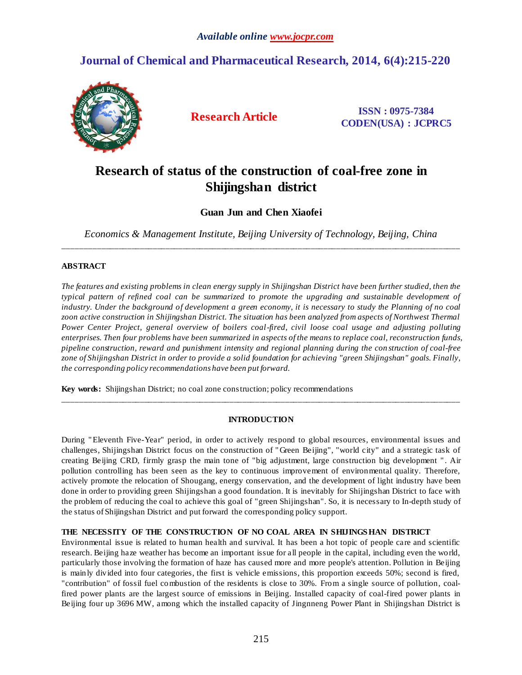# **Journal of Chemical and Pharmaceutical Research, 2014, 6(4):215-220**



**Research Article ISSN : 0975-7384 CODEN(USA) : JCPRC5**

# **Research of status of the construction of coal-free zone in Shijingshan district**

# **Guan Jun and Chen Xiaofei**

*Economics & Management Institute, Beijing University of Technology, Beijing, China* \_\_\_\_\_\_\_\_\_\_\_\_\_\_\_\_\_\_\_\_\_\_\_\_\_\_\_\_\_\_\_\_\_\_\_\_\_\_\_\_\_\_\_\_\_\_\_\_\_\_\_\_\_\_\_\_\_\_\_\_\_\_\_\_\_\_\_\_\_\_\_\_\_\_\_\_\_\_\_\_\_\_\_\_\_\_\_\_\_\_\_\_\_

# **ABSTRACT**

*The features and existing problems in clean energy supply in Shijingshan District have been further studied, then the typical pattern of refined coal can be summarized to promote the upgrading and sustainable development of industry. Under the background of development a green economy, it is necessary to study the Planning of no coal*  zoon active construction in Shijingshan District. The situation has been analyzed from aspects of Northwest Thermal *Power Center Project, general overview of boilers coal-fired, civil loose coal usage and adjusting polluting enterprises. Then four problems have been summarized in aspects of the means to replace coal, reconstruction funds, pipeline construction, reward and punishment intensity and regional planning during the con struction of coal-free zone of Shijingshan District in order to provide a solid foundation for achieving "green Shijingshan" goals. Finally, the corresponding policy recommendations have been put forward.*

**Key words:** Shijingshan District; no coal zone construction; policy recommendations

# **INTRODUCTION**

\_\_\_\_\_\_\_\_\_\_\_\_\_\_\_\_\_\_\_\_\_\_\_\_\_\_\_\_\_\_\_\_\_\_\_\_\_\_\_\_\_\_\_\_\_\_\_\_\_\_\_\_\_\_\_\_\_\_\_\_\_\_\_\_\_\_\_\_\_\_\_\_\_\_\_\_\_\_\_\_\_\_\_\_\_\_\_\_\_\_\_\_\_

During " Eleventh Five-Year" period, in order to actively respond to global resources, environmental issues and challenges, Shijingshan District focus on the construction of " Green Beijing", "world city" and a strategic task of creating Beijing CRD, firmly grasp the main tone of "big adjustment, large construction big development " . Air pollution controlling has been seen as the key to continuous improvement of environmental quality. Therefore, actively promote the relocation of Shougang, energy conservation, and the development of light industry have been done in order to providing green Shijingshan a good foundation. It is inevitably for Shijingshan District to face with the problem of reducing the coal to achieve this goal of "green Shijingshan". So, it is necessary to In-depth study of the status of Shijingshan District and put forward the corresponding policy support.

# **THE NECESSITY OF THE CONSTRUCTION OF NO COAL AREA IN SHIJINGS HAN DISTRICT**

Environmental issue is related to human health and survival. It has been a hot topic of people care and scientific research. Beijing haze weather has become an important issue for all people in the capital, including even the world, particularly those involving the formation of haze has caused more and more people's attention. Pollution in Beijing is mainly divided into four categories, the first is vehicle emissions, this proportion exceeds 50%; second is fired, "contribution" of fossil fuel combustion of the residents is close to 30%. From a single source of pollution, coalfired power plants are the largest source of emissions in Beijing. Installed capacity of coal-fired power plants in Beijing four up 3696 MW, among which the installed capacity of Jingnneng Power Plant in Shijingshan District is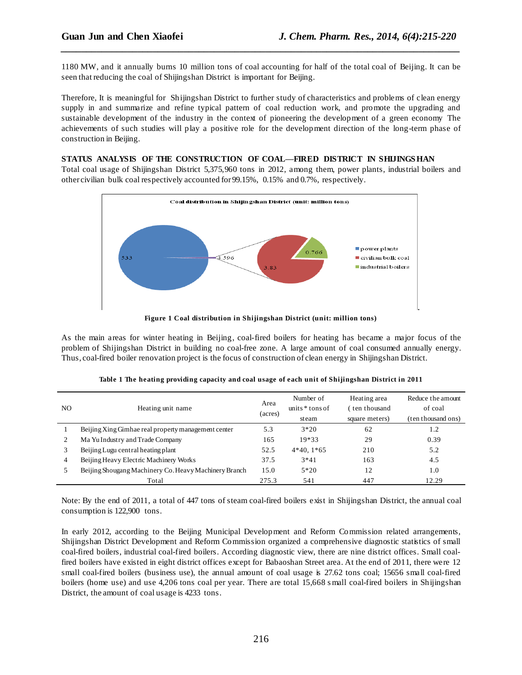1180 MW, and it annually burns 10 million tons of coal accounting for half of the total coal of Beijing. It can be seen that reducing the coal of Shijingshan District is important for Beijing.

*\_\_\_\_\_\_\_\_\_\_\_\_\_\_\_\_\_\_\_\_\_\_\_\_\_\_\_\_\_\_\_\_\_\_\_\_\_\_\_\_\_\_\_\_\_\_\_\_\_\_\_\_\_\_\_\_\_\_\_\_\_\_\_\_\_\_\_\_\_\_\_\_\_\_\_\_\_\_*

Therefore, It is meaningful for Shijingshan District to further study of characteristics and problems of clean energy supply in and summarize and refine typical pattern of coal reduction work, and promote the upgrading and sustainable development of the industry in the context of pioneering the development of a green economy The achievements of such studies will play a positive role for the development direction of the long-term phase of construction in Beijing.

### **STATUS ANALYSIS OF THE CONSTRUCTION OF COAL—FIRED DISTRICT IN SHIJINGS HAN**

Total coal usage of Shijingshan District 5,375,960 tons in 2012, among them, power plants, industrial boilers and other civilian bulk coal respectively accounted for 99.15%, 0.15% and 0.7%, respectively.



As the main areas for winter heating in Beijing, coal-fired boilers for heating has became a major focus of the problem of Shijingshan District in building no coal-free zone. A large amount of coal consumed annually energy. Thus, coal-fired boiler renovation project is the focus of construction of clean energy in Shijingshan District.

| NO. | Heating unit name                                     | Area<br>(acres) | Number of<br>units $*$ tons of<br>steam | Heating area<br>ten thousand<br>square meters) | Reduce the amount<br>of coal<br>(ten thousand ons) |
|-----|-------------------------------------------------------|-----------------|-----------------------------------------|------------------------------------------------|----------------------------------------------------|
|     | Beijing Xing Gimhae real property management center   | 5.3             | $3*20$                                  | 62                                             | 1.2                                                |
|     | Ma Yu Industry and Trade Company                      | 165             | $19*33$                                 | 29                                             | 0.39                                               |
|     | Beijing Lugu central heating plant                    | 52.5            | $4*40, 1*65$                            | 210                                            | 5.2                                                |
| 4   | Beijing Heavy Electric Machinery Works                | 37.5            | $3*41$                                  | 163                                            | 4.5                                                |
|     | Beijing Shougang Machinery Co. Heavy Machinery Branch | 15.0            | $5*20$                                  | 12                                             | 1.0                                                |
|     | Total                                                 | 275.3           | 541                                     | 447                                            | 12.29                                              |

|  |  |  | Table 1 The heating providing capacity and coal usage of each unit of Shijingshan District in 2011 |
|--|--|--|----------------------------------------------------------------------------------------------------|
|  |  |  |                                                                                                    |

Note: By the end of 2011, a total of 447 tons of steam coal-fired boilers exist in Shijingshan District, the annual coal consumption is 122,900 tons.

In early 2012, according to the Beijing Municipal Development and Reform Commission related arrangements, Shijingshan District Development and Reform Commission organized a comprehensive diagnostic statistics of small coal-fired boilers, industrial coal-fired boilers. According diagnostic view, there are nine district offices. Small coalfired boilers have existed in eight district offices except for Babaoshan Street area. At the end of 2011, there were 12 small coal-fired boilers (business use), the annual amount of coal usage is 27.62 tons coal; 15656 small coal-fired boilers (home use) and use 4,206 tons coal per year. There are total 15,668 s mall coal-fired boilers in Shijingshan District, the amount of coal usage is 4233 tons.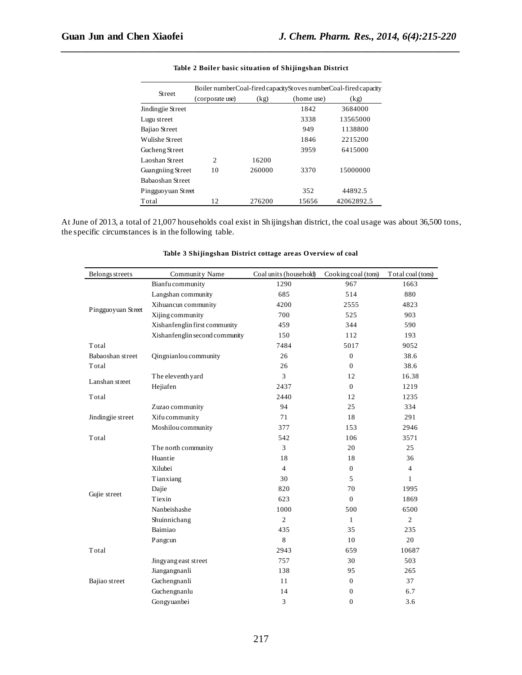|                    | Boiler numberCoal-fired capacityStoves numberCoal-fired capacity |        |            |            |  |  |
|--------------------|------------------------------------------------------------------|--------|------------|------------|--|--|
| <b>Street</b>      | (corporate use)                                                  | (kg)   | (home use) | (kg)       |  |  |
| Jindingjie Street  |                                                                  |        | 1842       | 3684000    |  |  |
| Lugu street        |                                                                  |        | 3338       | 13565000   |  |  |
| Bajiao Street      |                                                                  |        | 949        | 1138800    |  |  |
| Wulishe Street     |                                                                  |        | 1846       | 2215200    |  |  |
| Gucheng Street     |                                                                  |        | 3959       | 6415000    |  |  |
| Laoshan Street     | $\overline{c}$                                                   | 16200  |            |            |  |  |
| Guangniing Street  | 10                                                               | 260000 | 3370       | 15000000   |  |  |
| Babaoshan Street   |                                                                  |        |            |            |  |  |
| Pingguoyuan Street |                                                                  |        | 352        | 44892.5    |  |  |
| Total              | 12                                                               | 276200 | 15656      | 42062892.5 |  |  |

#### **Table 2 Boiler basic situation of Shijingshan District**

*\_\_\_\_\_\_\_\_\_\_\_\_\_\_\_\_\_\_\_\_\_\_\_\_\_\_\_\_\_\_\_\_\_\_\_\_\_\_\_\_\_\_\_\_\_\_\_\_\_\_\_\_\_\_\_\_\_\_\_\_\_\_\_\_\_\_\_\_\_\_\_\_\_\_\_\_\_\_*

At June of 2013, a total of 21,007 households coal exist in Shijingshan district, the coal usage was about 36,500 tons, the specific circumstances is in the following table.

| Belongs streets    | Community Name                 | Coal units (household) | Cooking coal (tons) | Total coal (tons) |
|--------------------|--------------------------------|------------------------|---------------------|-------------------|
|                    | Bianfu community               | 1290                   | 967                 | 1663              |
|                    | Langshan community             | 685                    | 514                 | 880               |
|                    | Xihuancun community            | 4200                   | 2555                | 4823              |
| Pingguoyuan Street | Xijing community               | 700                    | 525                 | 903               |
|                    | Xishanfenglin first community  | 459                    | 344                 | 590               |
|                    | Xishanfenglin second community | 150                    | 112                 | 193               |
| Total              |                                | 7484                   | 5017                | 9052              |
| Babaoshan street   | Qingnianlou community          | 26                     | $\boldsymbol{0}$    | 38.6              |
| Total              |                                | 26                     | $\mathbf{0}$        | 38.6              |
| Lanshan street     | The eleventh yard              | 3                      | 12                  | 16.38             |
|                    | Hejiafen                       | 2437                   | $\mathbf{0}$        | 1219              |
| Total              |                                | 2440                   | 12                  | 1235              |
|                    | Zuzao community                | 94                     | 25                  | 334               |
| Jindingjie street  | Xifu community                 | 71                     | 18                  | 291               |
|                    | Moshilou community             | 377                    | 153                 | 2946              |
| Total              |                                | 542                    | 106                 | 3571              |
|                    | The north community            | 3                      | 20                  | 25                |
|                    | Huantie                        | 18                     | 18                  | 36                |
|                    | Xilubei                        | $\overline{4}$         | $\mathbf{0}$        | $\overline{4}$    |
|                    | Tianxiang                      | 30                     | 5                   | $\mathbf{1}$      |
|                    | Dajie                          | 820                    | 70                  | 1995              |
| Gujie street       | Tiexin                         | 623                    | $\mathbf{0}$        | 1869              |
|                    | Nanbeishashe                   | 1000                   | 500                 | 6500              |
|                    | Shuinnichang                   | $\overline{c}$         | $\mathbf{1}$        | $\overline{2}$    |
|                    | Baimiao                        | 435                    | 35                  | 235               |
|                    | Pangcun                        | 8                      | 10                  | 20                |
| Total              |                                | 2943                   | 659                 | 10687             |
|                    | Jingyang east street           | 757                    | 30                  | 503               |
|                    | Jiangangnanli                  | 138                    | 95                  | 265               |
| Bajiao street      | Guchengnanli                   | 11                     | $\boldsymbol{0}$    | 37                |
|                    | Guchengnanlu                   | 14                     | $\boldsymbol{0}$    | 6.7               |
|                    | Gongyuanbei                    | 3                      | $\boldsymbol{0}$    | 3.6               |

# **Table 3 Shijingshan District cottage areas O verview of coal**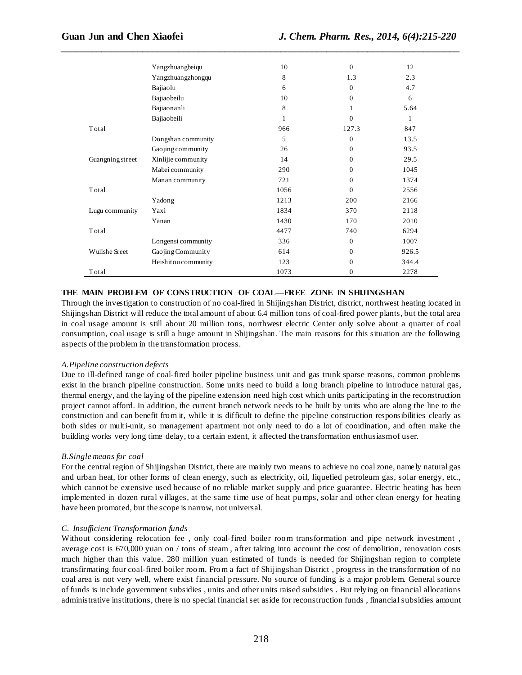|                  | Yangzhuangbeiqu     | 10   | $\Omega$     | 12    |
|------------------|---------------------|------|--------------|-------|
|                  | Yangzhuangzhongqu   | 8    | 1.3          | 2.3   |
|                  | Bajiaolu            | 6    | $\Omega$     | 4.7   |
|                  | Bajiaobeilu         | 10   | $\Omega$     | 6     |
|                  | Bajiaonanli         | 8    | 1            | 5.64  |
|                  | Bajiaobeili         | 1    | $\Omega$     | 1     |
| Total            |                     | 966  | 127.3        | 847   |
|                  | Dongshan community  | 5    | $\mathbf{0}$ | 13.5  |
|                  | Gaojing community   | 26   | $\Omega$     | 93.5  |
| Guangning street | Xinlijie community  | 14   | $\Omega$     | 29.5  |
|                  | Mabei community     | 290  | $\Omega$     | 1045  |
|                  | Manan community     | 721  | $\Omega$     | 1374  |
| Total            |                     | 1056 | $\Omega$     | 2556  |
|                  | Yadong              | 1213 | 200          | 2166  |
| Lugu community   | Yaxi                | 1834 | 370          | 2118  |
|                  | Yanan               | 1430 | 170          | 2010  |
| Total            |                     | 4477 | 740          | 6294  |
|                  | Longensi community  | 336  | $\mathbf{0}$ | 1007  |
| Wulishe Sreet    | Gaojing Community   | 614  | $\Omega$     | 926.5 |
|                  | Heishitou community | 123  | $\Omega$     | 344.4 |
| Total            |                     | 1073 | $\Omega$     | 2278  |

*\_\_\_\_\_\_\_\_\_\_\_\_\_\_\_\_\_\_\_\_\_\_\_\_\_\_\_\_\_\_\_\_\_\_\_\_\_\_\_\_\_\_\_\_\_\_\_\_\_\_\_\_\_\_\_\_\_\_\_\_\_\_\_\_\_\_\_\_\_\_\_\_\_\_\_\_\_\_*

# **THE MAIN PROBLEM OF CONSTRUCTION OF COAL—FREE ZONE IN SHIJINGSHAN**

Through the investigation to construction of no coal-fired in Shijingshan District, district, northwest heating located in Shijingshan District will reduce the total amount of about 6.4 million tons of coal-fired power plants, but the total area in coal usage amount is still about 20 million tons, northwest electric Center only solve about a quarter of coal consumption, coal usage is still a huge amount in Shijingshan. The main reasons for this situation are the following aspects of the problem in the transformation process.

### *A.Pipeline construction defects*

Due to ill-defined range of coal-fired boiler pipeline business unit and gas trunk sparse reasons, common problems exist in the branch pipeline construction. Some units need to build a long branch pipeline to introduce natural gas, thermal energy, and the laying of the pipeline extension need high cost which units participating in the reconstruction project cannot afford. In addition, the current branch network needs to be built by units who are along the line to the construction and can benefit from it, while it is difficult to define the pipeline construction responsibilities clearly as both sides or multi-unit, so management apartment not only need to do a lot of coordination, and often make the building works very long time delay, to a certain extent, it affected the transformation enthusiasm of user.

#### *B.Single means for coal*

For the central region of Shijingshan District, there are mainly two means to achieve no coal zone, namely natural gas and urban heat, for other forms of clean energy, such as electricity, oil, liquefied petroleum gas, solar energy, etc., which cannot be extensive used because of no reliable market supply and price guarantee. Electric heating has been implemented in dozen rural villages, at the same time use of heat pumps, solar and other clean energy for heating have been promoted, but the scope is narrow, not universal.

#### *C. Insufficient Transformation funds*

Without considering relocation fee , only coal-fired boiler room transformation and pipe network investment , average cost is 670,000 yuan on / tons of steam , after taking into account the cost of demolition, renovation costs much higher than this value. 280 million yuan estimated of funds is needed for Shijingshan region to complete transfirmating four coal-fired boiler room. From a fact of Shijingshan District , progress in the transformation of no coal area is not very well, where exist financial pressure. No source of funding is a major problem. General source of funds is include government subsidies , units and other units raised subsidies . But relying on financial allocations administrative institutions, there is no special financial set aside for reconstruction funds , financial subsidies amount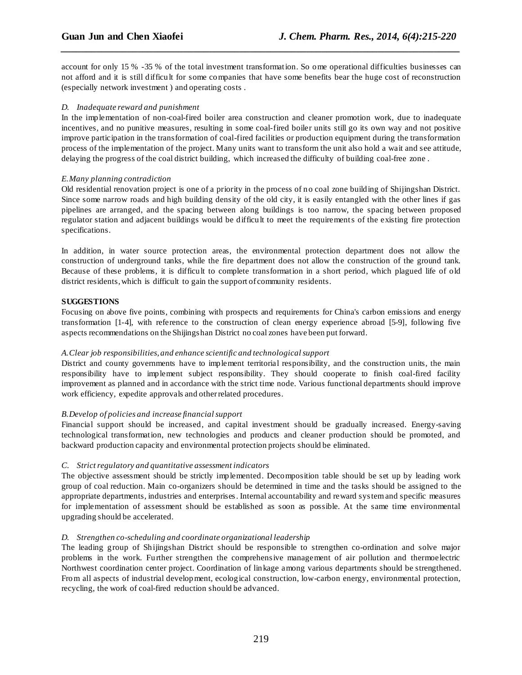account for only 15 % -35 % of the total investment transformation. So ome operational difficulties businesses can not afford and it is still difficult for some companies that have some benefits bear the huge cost of reconstruction (especially network investment ) and operating costs .

*\_\_\_\_\_\_\_\_\_\_\_\_\_\_\_\_\_\_\_\_\_\_\_\_\_\_\_\_\_\_\_\_\_\_\_\_\_\_\_\_\_\_\_\_\_\_\_\_\_\_\_\_\_\_\_\_\_\_\_\_\_\_\_\_\_\_\_\_\_\_\_\_\_\_\_\_\_\_*

## *D. Inadequate reward and punishment*

In the implementation of non-coal-fired boiler area construction and cleaner promotion work, due to inadequate incentives, and no punitive measures, resulting in some coal-fired boiler units still go its own way and not positive improve participation in the transformation of coal-fired facilities or production equipment during the transformation process of the implementation of the project. Many units want to transform the unit also hold a wait and see attitude, delaying the progress of the coal district building, which increased the difficulty of building coal-free zone .

### *E.Many planning contradiction*

Old residential renovation project is one of a priority in the process of no coal zone building of Shijingshan District. Since some narrow roads and high building density of the old city, it is easily entangled with the other lines if gas pipelines are arranged, and the spacing between along buildings is too narrow, the spacing between proposed regulator station and adjacent buildings would be difficult to meet the requirements of the existing fire protection specifications.

In addition, in water source protection areas, the environmental protection department does not allow the construction of underground tanks, while the fire department does not allow the construction of the ground tank. Because of these problems, it is difficult to complete transformation in a short period, which plagued life of old district residents, which is difficult to gain the support of community residents.

# **SUGGESTIONS**

Focusing on above five points, combining with prospects and requirements for China's carbon emissions and energy transformation [1-4], with reference to the construction of clean energy experience abroad [5-9], following five aspects recommendations on the Shijingshan District no coal zones have been put forward.

# *A.Clear job responsibilities, and enhance scientific and technological support*

District and county governments have to implement territorial responsibility, and the construction units, the main responsibility have to implement subject responsibility. They should cooperate to finish coal-fired facility improvement as planned and in accordance with the strict time node. Various functional departments should improve work efficiency, expedite approvals and other related procedures.

### *B.Develop of policies and increase financial support*

Financial support should be increased, and capital investment should be gradually increased. Energy-saving technological transformation, new technologies and products and cleaner production should be promoted, and backward production capacity and environmental protection projects should be eliminated.

# *C. Strict regulatory and quantitative assessment indicators*

The objective assessment should be strictly implemented. Decomposition table should be set up by leading work group of coal reduction. Main co-organizers should be determined in time and the tasks should be assigned to the appropriate departments, industries and enterprises. Internal accountability and reward system and specific measures for implementation of assessment should be established as soon as possible. At the same time environmental upgrading should be accelerated.

# *D. Strengthen co-scheduling and coordinate organizational leadership*

The leading group of Shijingshan District should be responsible to strengthen co-ordination and solve major problems in the work. Further strengthen the comprehensive management of air pollution and thermoelectric Northwest coordination center project. Coordination of linkage among various departments should be strengthened. From all aspects of industrial development, ecological construction, low-carbon energy, environmental protection, recycling, the work of coal-fired reduction should be advanced.